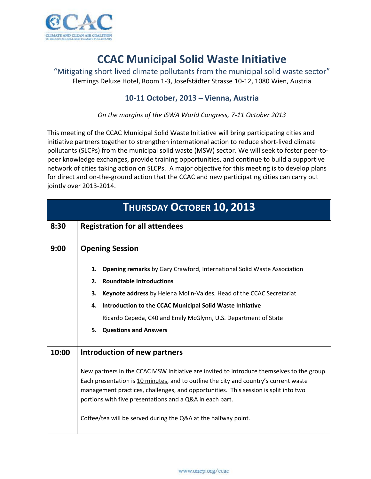

## **CCAC Municipal Solid Waste Initiative**

"Mitigating short lived climate pollutants from the municipal solid waste sector" Flemings Deluxe Hotel, Room 1-3, Josefstädter Strasse 10-12, 1080 Wien, Austria

## **10-11 October, 2013 – Vienna, Austria**

*On the margins of the ISWA World Congress, 7-11 October 2013*

This meeting of the CCAC Municipal Solid Waste Initiative will bring participating cities and initiative partners together to strengthen international action to reduce short-lived climate pollutants (SLCPs) from the municipal solid waste (MSW) sector. We will seek to foster peer-topeer knowledge exchanges, provide training opportunities, and continue to build a supportive network of cities taking action on SLCPs. A major objective for this meeting is to develop plans for direct and on-the-ground action that the CCAC and new participating cities can carry out jointly over 2013-2014.

| <b>THURSDAY OCTOBER 10, 2013</b> |                                                                                                                                                                                                                                                                                                                                                                                                        |  |
|----------------------------------|--------------------------------------------------------------------------------------------------------------------------------------------------------------------------------------------------------------------------------------------------------------------------------------------------------------------------------------------------------------------------------------------------------|--|
| 8:30                             | <b>Registration for all attendees</b>                                                                                                                                                                                                                                                                                                                                                                  |  |
| 9:00                             | <b>Opening Session</b>                                                                                                                                                                                                                                                                                                                                                                                 |  |
|                                  | <b>Opening remarks</b> by Gary Crawford, International Solid Waste Association<br>1.                                                                                                                                                                                                                                                                                                                   |  |
|                                  | <b>Roundtable Introductions</b><br>2.                                                                                                                                                                                                                                                                                                                                                                  |  |
|                                  | Keynote address by Helena Molin-Valdes, Head of the CCAC Secretariat<br>3.                                                                                                                                                                                                                                                                                                                             |  |
|                                  | Introduction to the CCAC Municipal Solid Waste Initiative<br>4.                                                                                                                                                                                                                                                                                                                                        |  |
|                                  | Ricardo Cepeda, C40 and Emily McGlynn, U.S. Department of State                                                                                                                                                                                                                                                                                                                                        |  |
|                                  | <b>Questions and Answers</b><br>5.                                                                                                                                                                                                                                                                                                                                                                     |  |
|                                  |                                                                                                                                                                                                                                                                                                                                                                                                        |  |
| 10:00                            | <b>Introduction of new partners</b>                                                                                                                                                                                                                                                                                                                                                                    |  |
|                                  | New partners in the CCAC MSW Initiative are invited to introduce themselves to the group.<br>Each presentation is 10 minutes, and to outline the city and country's current waste<br>management practices, challenges, and opportunities. This session is split into two<br>portions with five presentations and a Q&A in each part.<br>Coffee/tea will be served during the Q&A at the halfway point. |  |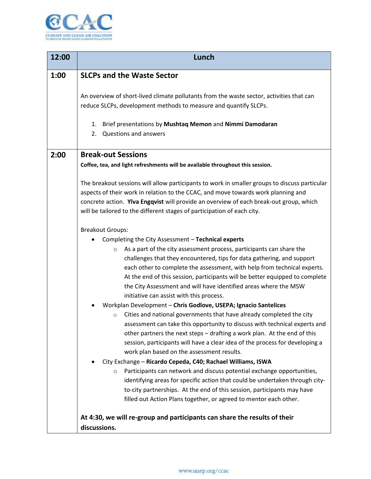

| 12:00 | Lunch                                                                                                                                                                                                                                                                                                                                                                                                                                                                                                                                                                                                                                                                                                                                                                                                                                                                                       |
|-------|---------------------------------------------------------------------------------------------------------------------------------------------------------------------------------------------------------------------------------------------------------------------------------------------------------------------------------------------------------------------------------------------------------------------------------------------------------------------------------------------------------------------------------------------------------------------------------------------------------------------------------------------------------------------------------------------------------------------------------------------------------------------------------------------------------------------------------------------------------------------------------------------|
| 1:00  | <b>SLCPs and the Waste Sector</b>                                                                                                                                                                                                                                                                                                                                                                                                                                                                                                                                                                                                                                                                                                                                                                                                                                                           |
|       | An overview of short-lived climate pollutants from the waste sector, activities that can<br>reduce SLCPs, development methods to measure and quantify SLCPs.                                                                                                                                                                                                                                                                                                                                                                                                                                                                                                                                                                                                                                                                                                                                |
|       | Brief presentations by Mushtaq Memon and Nimmi Damodaran<br>1.<br><b>Questions and answers</b><br>2.                                                                                                                                                                                                                                                                                                                                                                                                                                                                                                                                                                                                                                                                                                                                                                                        |
| 2:00  | <b>Break-out Sessions</b>                                                                                                                                                                                                                                                                                                                                                                                                                                                                                                                                                                                                                                                                                                                                                                                                                                                                   |
|       | Coffee, tea, and light refreshments will be available throughout this session.                                                                                                                                                                                                                                                                                                                                                                                                                                                                                                                                                                                                                                                                                                                                                                                                              |
|       | The breakout sessions will allow participants to work in smaller groups to discuss particular<br>aspects of their work in relation to the CCAC, and move towards work planning and<br>concrete action. Ylva Engqvist will provide an overview of each break-out group, which<br>will be tailored to the different stages of participation of each city.                                                                                                                                                                                                                                                                                                                                                                                                                                                                                                                                     |
|       | <b>Breakout Groups:</b>                                                                                                                                                                                                                                                                                                                                                                                                                                                                                                                                                                                                                                                                                                                                                                                                                                                                     |
|       | Completing the City Assessment - Technical experts<br>As a part of the city assessment process, participants can share the<br>$\circ$<br>challenges that they encountered, tips for data gathering, and support<br>each other to complete the assessment, with help from technical experts.<br>At the end of this session, participants will be better equipped to complete<br>the City Assessment and will have identified areas where the MSW<br>initiative can assist with this process.<br>Workplan Development - Chris Godlove, USEPA; Ignacio Santelices<br>Cities and national governments that have already completed the city<br>$\circ$<br>assessment can take this opportunity to discuss with technical experts and<br>other partners the next steps - drafting a work plan. At the end of this<br>session, participants will have a clear idea of the process for developing a |
|       | work plan based on the assessment results.<br>City Exchange - Ricardo Cepeda, C40; Rachael Williams, ISWA<br>Participants can network and discuss potential exchange opportunities,<br>$\circ$<br>identifying areas for specific action that could be undertaken through city-<br>to-city partnerships. At the end of this session, participants may have<br>filled out Action Plans together, or agreed to mentor each other.                                                                                                                                                                                                                                                                                                                                                                                                                                                              |
|       | At 4:30, we will re-group and participants can share the results of their<br>discussions.                                                                                                                                                                                                                                                                                                                                                                                                                                                                                                                                                                                                                                                                                                                                                                                                   |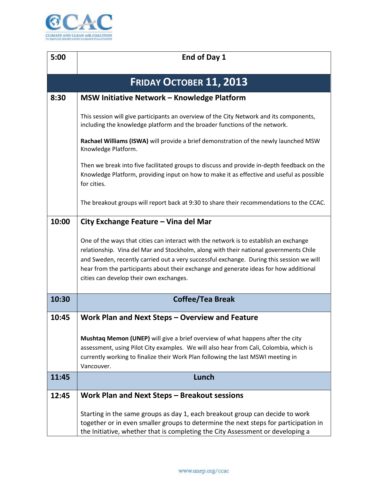

| 5:00                           | End of Day 1                                                                                                                                                                                                                                                                                                                                                                                                   |  |
|--------------------------------|----------------------------------------------------------------------------------------------------------------------------------------------------------------------------------------------------------------------------------------------------------------------------------------------------------------------------------------------------------------------------------------------------------------|--|
|                                |                                                                                                                                                                                                                                                                                                                                                                                                                |  |
| <b>FRIDAY OCTOBER 11, 2013</b> |                                                                                                                                                                                                                                                                                                                                                                                                                |  |
| 8:30                           | <b>MSW Initiative Network - Knowledge Platform</b>                                                                                                                                                                                                                                                                                                                                                             |  |
|                                | This session will give participants an overview of the City Network and its components,<br>including the knowledge platform and the broader functions of the network.                                                                                                                                                                                                                                          |  |
|                                | Rachael Williams (ISWA) will provide a brief demonstration of the newly launched MSW<br>Knowledge Platform.                                                                                                                                                                                                                                                                                                    |  |
|                                | Then we break into five facilitated groups to discuss and provide in-depth feedback on the<br>Knowledge Platform, providing input on how to make it as effective and useful as possible<br>for cities.                                                                                                                                                                                                         |  |
|                                | The breakout groups will report back at 9:30 to share their recommendations to the CCAC.                                                                                                                                                                                                                                                                                                                       |  |
| 10:00                          | City Exchange Feature – Vina del Mar                                                                                                                                                                                                                                                                                                                                                                           |  |
|                                | One of the ways that cities can interact with the network is to establish an exchange<br>relationship. Vina del Mar and Stockholm, along with their national governments Chile<br>and Sweden, recently carried out a very successful exchange. During this session we will<br>hear from the participants about their exchange and generate ideas for how additional<br>cities can develop their own exchanges. |  |
| 10:30                          | <b>Coffee/Tea Break</b>                                                                                                                                                                                                                                                                                                                                                                                        |  |
| 10:45                          | Work Plan and Next Steps – Overview and Feature                                                                                                                                                                                                                                                                                                                                                                |  |
|                                | Mushtaq Memon (UNEP) will give a brief overview of what happens after the city<br>assessment, using Pilot City examples. We will also hear from Cali, Colombia, which is<br>currently working to finalize their Work Plan following the last MSWI meeting in<br>Vancouver.                                                                                                                                     |  |
| 11:45                          | Lunch                                                                                                                                                                                                                                                                                                                                                                                                          |  |
| 12:45                          | Work Plan and Next Steps - Breakout sessions                                                                                                                                                                                                                                                                                                                                                                   |  |
|                                | Starting in the same groups as day 1, each breakout group can decide to work<br>together or in even smaller groups to determine the next steps for participation in<br>the Initiative, whether that is completing the City Assessment or developing a                                                                                                                                                          |  |